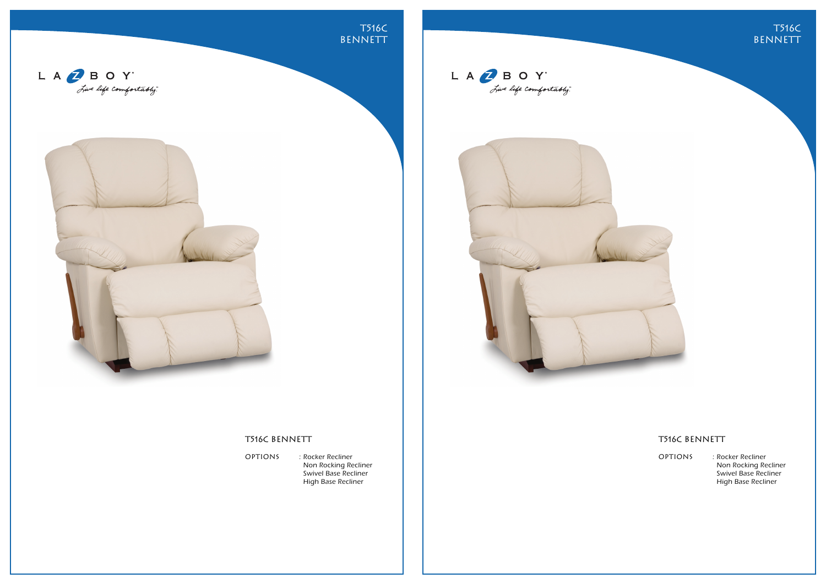T516C **BENNETT** 





## T516C BENNETT

OPTIONS : Rocker Recliner Non Rocking Recliner Swivel Base Recliner High Base Recliner